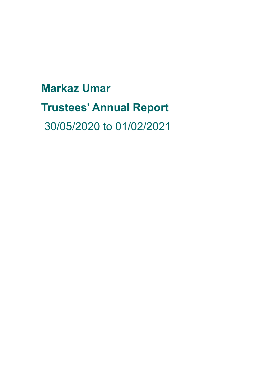**Markaz Umar Trustees' Annual Report** 30/05/2020 to 01/02/2021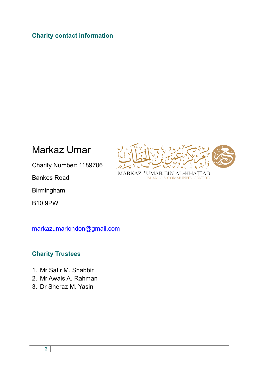# **Charity contact information**

Markaz Umar



Charity Number: 1189706

Bankes Road

Birmingham

B10 9PW

[markazumarlondon@gmail.com](mailto:markazumarlondon@gmail.com)

### **Charity Trustees**

- 1. Mr Safir M. Shabbir
- 2. Mr Awais A. Rahman
- 3. Dr Sheraz M. Yasin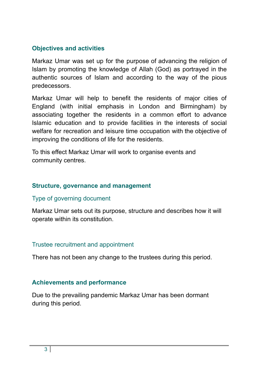# **Objectives and activities**

Markaz Umar was set up for the purpose of advancing the religion of Islam by promoting the knowledge of Allah (God) as portrayed in the authentic sources of Islam and according to the way of the pious predecessors.

Markaz Umar will help to benefit the residents of major cities of England (with initial emphasis in London and Birmingham) by associating together the residents in a common effort to advance Islamic education and to provide facilities in the interests of social welfare for recreation and leisure time occupation with the objective of improving the conditions of life for the residents.

To this effect Markaz Umar will work to organise events and community centres.

### **Structure, governance and management**

### Type of governing document

Markaz Umar sets out its purpose, structure and describes how it will operate within its constitution.

### Trustee recruitment and appointment

There has not been any change to the trustees during this period.

# **Achievements and performance**

Due to the prevailing pandemic Markaz Umar has been dormant during this period.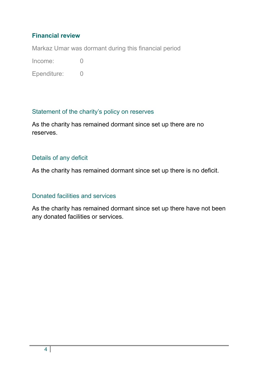# **Financial review**

Markaz Umar was dormant during this financial period

Income: 0

Ependiture: 0

# Statement of the charity's policy on reserves

As the charity has remained dormant since set up there are no reserves.

# Details of any deficit

As the charity has remained dormant since set up there is no deficit.

# Donated facilities and services

As the charity has remained dormant since set up there have not been any donated facilities or services.